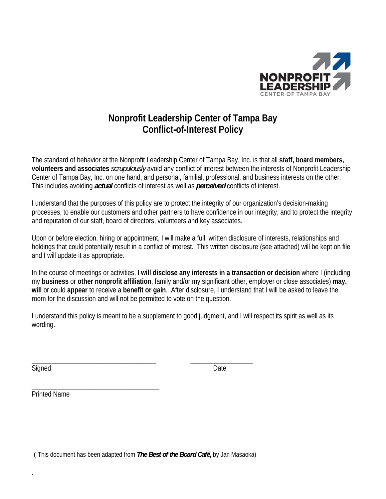

## **Nonprofit Leadership Center of Tampa Bay Conflict-of-Interest Policy**

The standard of behavior at the Nonprofit Leadership Center of Tampa Bay, Inc. is that all **staff, board members, volunteers and associates** *scrupulously* avoid any conflict of interest between the interests of Nonprofit Leadership Center of Tampa Bay, Inc. on one hand, and personal, familial, professional, and business interests on the other. This includes avoiding *actual* conflicts of interest as well as *perceived* conflicts of interest.

I understand that the purposes of this policy are to protect the integrity of our organization's decision-making processes, to enable our customers and other partners to have confidence in our integrity, and to protect the integrity and reputation of our staff, board of directors, volunteers and key associates.

Upon or before election, hiring or appointment, I will make a full, written disclosure of interests, relationships and holdings that could potentially result in a conflict of interest. This written disclosure (see attached) will be kept on file and I will update it as appropriate.

In the course of meetings or activities, **I will disclose any interests in a transaction or decision** where I (including my **business** or **other nonprofit affiliation**, family and/or my significant other, employer or close associates) **may, will** or could **appear** to receive a **benefit or gain**. After disclosure, I understand that I will be asked to leave the room for the discussion and will not be permitted to vote on the question.

I understand this policy is meant to be a supplement to good judgment, and I will respect its spirit as well as its wording.

Signed Date **Date** 

.

Printed Name

\_\_\_\_\_\_\_\_\_\_\_\_\_\_\_\_\_\_\_\_\_\_\_\_\_\_\_\_\_\_\_\_\_\_\_\_\_

( This document has been adapted from *The Best of the Board Café***,** by Jan Masaoka)

\_\_\_\_\_\_\_\_\_\_\_\_\_\_\_\_\_\_\_\_\_\_\_\_\_\_\_\_\_\_\_\_\_\_\_\_ \_\_\_\_\_\_\_\_\_\_\_\_\_\_\_\_\_\_